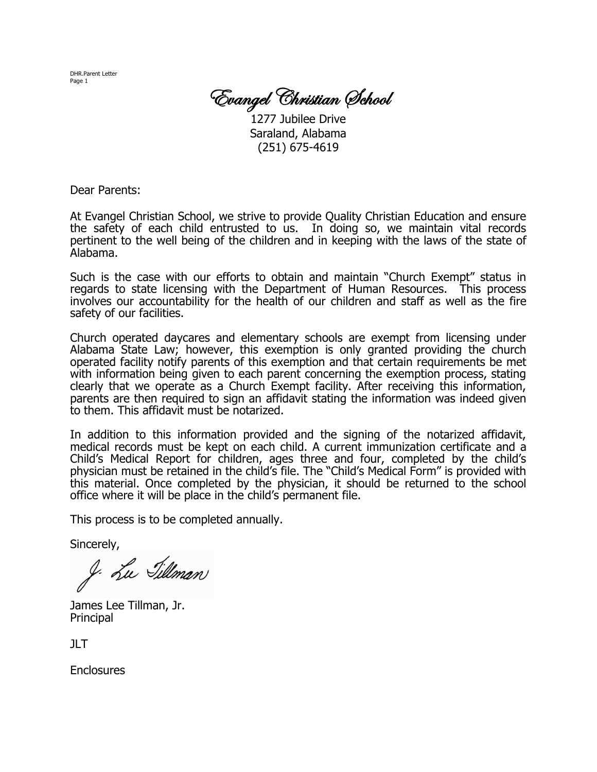DHR.Parent Letter Page 1

Evangel Christian School

1277 Jubilee Drive Saraland, Alabama (251) 675-4619

Dear Parents:

At Evangel Christian School, we strive to provide Quality Christian Education and ensure the safety of each child entrusted to us. In doing so, we maintain vital records pertinent to the well being of the children and in keeping with the laws of the state of Alabama.

Such is the case with our efforts to obtain and maintain "Church Exempt" status in regards to state licensing with the Department of Human Resources. This process involves our accountability for the health of our children and staff as well as the fire safety of our facilities.

Church operated daycares and elementary schools are exempt from licensing under Alabama State Law; however, this exemption is only granted providing the church operated facility notify parents of this exemption and that certain requirements be met with information being given to each parent concerning the exemption process, stating clearly that we operate as a Church Exempt facility. After receiving this information, parents are then required to sign an affidavit stating the information was indeed given to them. This affidavit must be notarized.

In addition to this information provided and the signing of the notarized affidavit, medical records must be kept on each child. A current immunization certificate and a Child's Medical Report for children, ages three and four, completed by the child's physician must be retained in the child's file. The "Child's Medical Form" is provided with this material. Once completed by the physician, it should be returned to the school office where it will be place in the child's permanent file.

This process is to be completed annually.

Sincerely,

J. Lu Tillman

James Lee Tillman, Jr. Principal

 $JLT$ 

**Enclosures**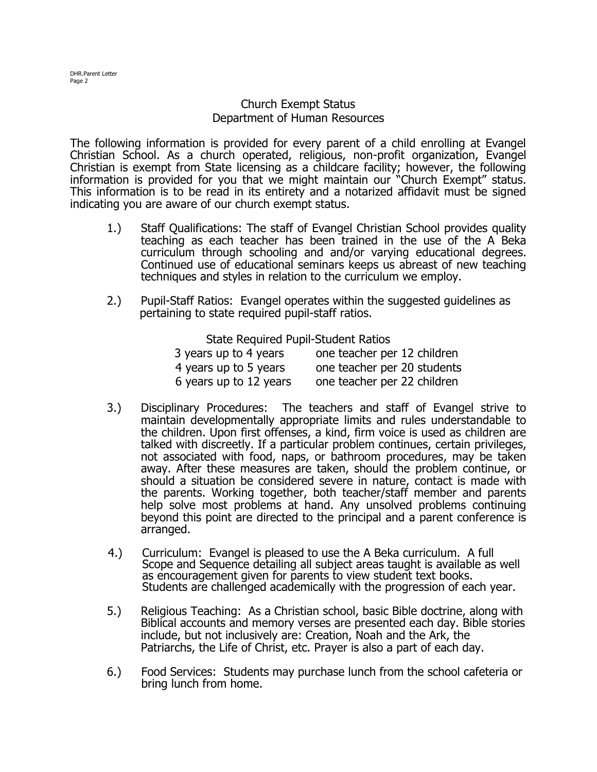## Church Exempt Status Department of Human Resources

The following information is provided for every parent of a child enrolling at Evangel Christian School. As a church operated, religious, non-profit organization, Evangel Christian is exempt from State licensing as a childcare facility; however, the following information is provided for you that we might maintain our "Church Exempt" status. This information is to be read in its entirety and a notarized affidavit must be signed indicating you are aware of our church exempt status.

- 1.) Staff Qualifications: The staff of Evangel Christian School provides quality teaching as each teacher has been trained in the use of the A Beka curriculum through schooling and and/or varying educational degrees. Continued use of educational seminars keeps us abreast of new teaching techniques and styles in relation to the curriculum we employ.
- 2.) Pupil-Staff Ratios: Evangel operates within the suggested guidelines as pertaining to state required pupil-staff ratios.

State Required Pupil-Student Ratios

| 3 years up to 4 years  | one teacher per 12 children |
|------------------------|-----------------------------|
| 4 years up to 5 years  | one teacher per 20 students |
| 6 years up to 12 years | one teacher per 22 children |

- 3.) Disciplinary Procedures: The teachers and staff of Evangel strive to maintain developmentally appropriate limits and rules understandable to the children. Upon first offenses, a kind, firm voice is used as children are talked with discreetly. If a particular problem continues, certain privileges, not associated with food, naps, or bathroom procedures, may be taken away. After these measures are taken, should the problem continue, or should a situation be considered severe in nature, contact is made with the parents. Working together, both teacher/staff member and parents help solve most problems at hand. Any unsolved problems continuing beyond this point are directed to the principal and a parent conference is arranged.
- 4.) Curriculum: Evangel is pleased to use the A Beka curriculum. A full Scope and Sequence detailing all subject areas taught is available as well as encouragement given for parents to view student text books. Students are challenged academically with the progression of each year.
- 5.) Religious Teaching: As a Christian school, basic Bible doctrine, along with Biblical accounts and memory verses are presented each day. Bible stories include, but not inclusively are: Creation, Noah and the Ark, the Patriarchs, the Life of Christ, etc. Prayer is also a part of each day.
- 6.) Food Services: Students may purchase lunch from the school cafeteria or bring lunch from home.